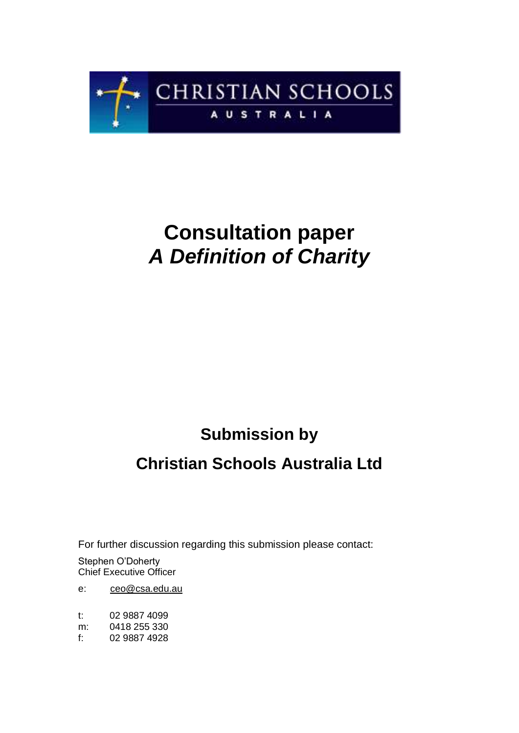

# **Consultation paper**  *A Definition of Charity*

## **Submission by**

## **Christian Schools Australia Ltd**

For further discussion regarding this submission please contact:

 Chief Executive Officer Stephen O'Doherty

 $e$ : [ceo@csa.edu.au](mailto:ceo@csa.edu.au)

 $t$ : 02 9887 4099

 $m$ : 0418 255 330

 $f$ : f: 02 9887 4928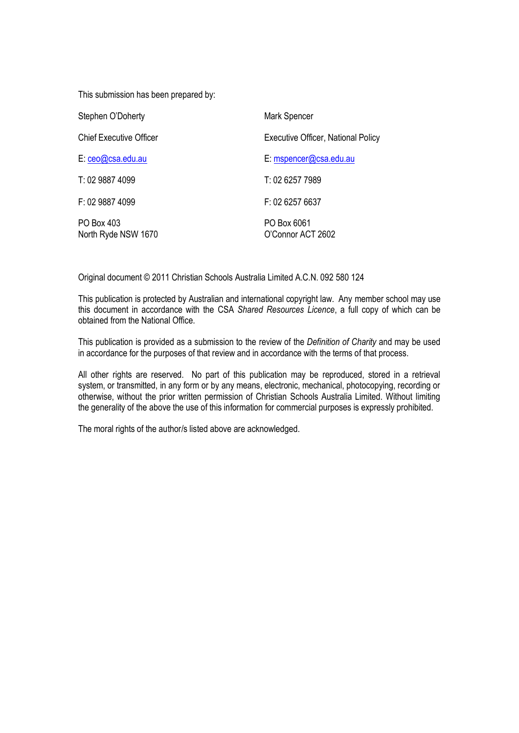This submission has been prepared by:

| Stephen O'Doherty                 | Mark Spencer                       |
|-----------------------------------|------------------------------------|
| <b>Chief Executive Officer</b>    | Executive Officer, National Policy |
| E: ceo@csa.edu.au                 | E: mspencer@csa.edu.au             |
| T: 02 9887 4099                   | T: 02 6257 7989                    |
| F: 02 9887 4099                   | F: 02 6257 6637                    |
| PO Box 403<br>North Ryde NSW 1670 | PO Box 6061<br>O'Connor ACT 2602   |

Original document © 2011 Christian Schools Australia Limited A.C.N. 092 580 124

 This publication is protected by Australian and international copyright law. Any member school may use this document in accordance with the CSA *Shared Resources Licence*, a full copy of which can be obtained from the National Office.

 This publication is provided as a submission to the review of the *Definition of Charity* and may be used in accordance for the purposes of that review and in accordance with the terms of that process.

 All other rights are reserved. No part of this publication may be reproduced, stored in a retrieval system, or transmitted, in any form or by any means, electronic, mechanical, photocopying, recording or otherwise, without the prior written permission of Christian Schools Australia Limited. Without limiting the generality of the above the use of this information for commercial purposes is expressly prohibited.

The moral rights of the author/s listed above are acknowledged.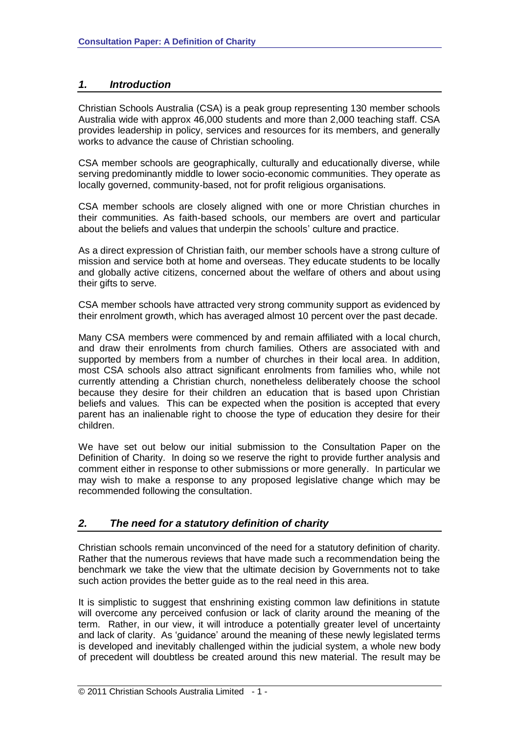### *1. Introduction*

 Christian Schools Australia (CSA) is a peak group representing 130 member schools Australia wide with approx 46,000 students and more than 2,000 teaching staff. CSA provides leadership in policy, services and resources for its members, and generally works to advance the cause of Christian schooling.

 CSA member schools are geographically, culturally and educationally diverse, while serving predominantly middle to lower socio-economic communities. They operate as locally governed, community‐based, not for profit religious organisations.

 CSA member schools are closely aligned with one or more Christian churches in their communities. As faith‐based schools, our members are overt and particular about the beliefs and values that underpin the schools' culture and practice.

 As a direct expression of Christian faith, our member schools have a strong culture of mission and service both at home and overseas. They educate students to be locally and globally active citizens, concerned about the welfare of others and about using their gifts to serve.

 CSA member schools have attracted very strong community support as evidenced by their enrolment growth, which has averaged almost 10 percent over the past decade.

 Many CSA members were commenced by and remain affiliated with a local church, and draw their enrolments from church families. Others are associated with and supported by members from a number of churches in their local area. In addition, most CSA schools also attract significant enrolments from families who, while not currently attending a Christian church, nonetheless deliberately choose the school because they desire for their children an education that is based upon Christian beliefs and values. This can be expected when the position is accepted that every parent has an inalienable right to choose the type of education they desire for their children.

 We have set out below our initial submission to the Consultation Paper on the Definition of Charity. In doing so we reserve the right to provide further analysis and comment either in response to other submissions or more generally. In particular we may wish to make a response to any proposed legislative change which may be recommended following the consultation.

#### *2. The need for a statutory definition of charity*

 Christian schools remain unconvinced of the need for a statutory definition of charity. Rather that the numerous reviews that have made such a recommendation being the benchmark we take the view that the ultimate decision by Governments not to take such action provides the better guide as to the real need in this area.

 It is simplistic to suggest that enshrining existing common law definitions in statute will overcome any perceived confusion or lack of clarity around the meaning of the term. Rather, in our view, it will introduce a potentially greater level of uncertainty and lack of clarity. As 'guidance' around the meaning of these newly legislated terms is developed and inevitably challenged within the judicial system, a whole new body of precedent will doubtless be created around this new material. The result may be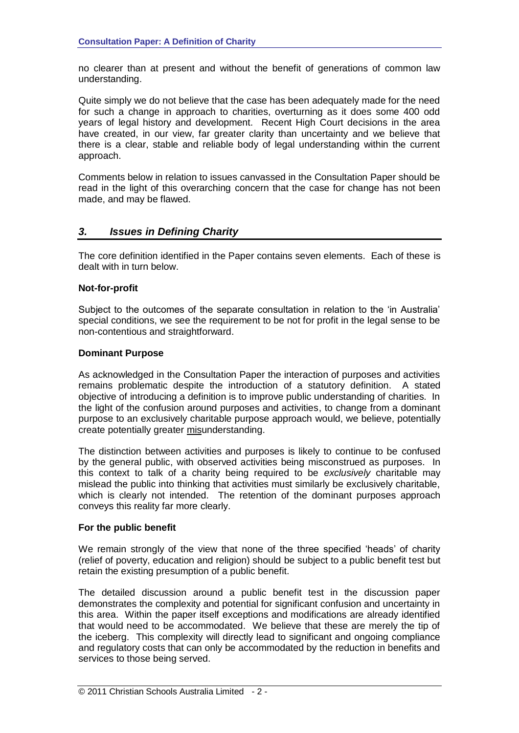no clearer than at present and without the benefit of generations of common law understanding.

 Quite simply we do not believe that the case has been adequately made for the need for such a change in approach to charities, overturning as it does some 400 odd years of legal history and development. Recent High Court decisions in the area have created, in our view, far greater clarity than uncertainty and we believe that there is a clear, stable and reliable body of legal understanding within the current approach.

 Comments below in relation to issues canvassed in the Consultation Paper should be read in the light of this overarching concern that the case for change has not been made, and may be flawed.

#### $3.$ *3. Issues in Defining Charity*

 The core definition identified in the Paper contains seven elements. Each of these is dealt with in turn below.

#### **Not-for-profit**

 Subject to the outcomes of the separate consultation in relation to the 'in Australia' special conditions, we see the requirement to be not for profit in the legal sense to be non-contentious and straightforward.

#### **Dominant Purpose**

 As acknowledged in the Consultation Paper the interaction of purposes and activities remains problematic despite the introduction of a statutory definition. A stated objective of introducing a definition is to improve public understanding of charities. In the light of the confusion around purposes and activities, to change from a dominant purpose to an exclusively charitable purpose approach would, we believe, potentially create potentially greater misunderstanding.

 The distinction between activities and purposes is likely to continue to be confused by the general public, with observed activities being misconstrued as purposes. In this context to talk of a charity being required to be *exclusively* charitable may mislead the public into thinking that activities must similarly be exclusively charitable, which is clearly not intended. The retention of the dominant purposes approach conveys this reality far more clearly.

#### **For the public benefit**

 We remain strongly of the view that none of the three specified 'heads' of charity (relief of poverty, education and religion) should be subject to a public benefit test but retain the existing presumption of a public benefit.

 The detailed discussion around a public benefit test in the discussion paper demonstrates the complexity and potential for significant confusion and uncertainty in this area. Within the paper itself exceptions and modifications are already identified that would need to be accommodated. We believe that these are merely the tip of the iceberg. This complexity will directly lead to significant and ongoing compliance and regulatory costs that can only be accommodated by the reduction in benefits and services to those being served.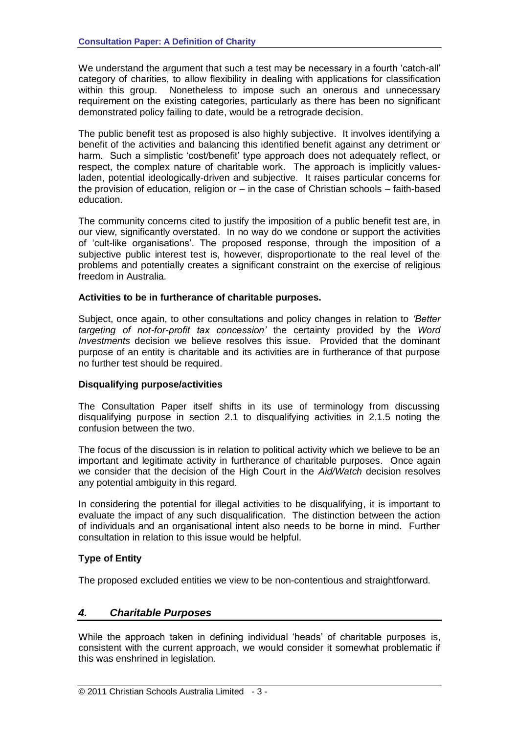We understand the argument that such a test may be necessary in a fourth 'catch-all' category of charities, to allow flexibility in dealing with applications for classification within this group. Nonetheless to impose such an onerous and unnecessary requirement on the existing categories, particularly as there has been no significant demonstrated policy failing to date, would be a retrograde decision.

 The public benefit test as proposed is also highly subjective. It involves identifying a benefit of the activities and balancing this identified benefit against any detriment or harm. Such a simplistic 'cost/benefit' type approach does not adequately reflect, or respect, the complex nature of charitable work. The approach is implicitly values- laden, potential ideologically-driven and subjective. It raises particular concerns for the provision of education, religion or – in the case of Christian schools – faith-based education.

education.<br>The community concerns cited to justify the imposition of a public benefit test are, in our view, significantly overstated. In no way do we condone or support the activities of 'cult-like organisations'. The proposed response, through the imposition of a subjective public interest test is, however, disproportionate to the real level of the problems and potentially creates a significant constraint on the exercise of religious freedom in Australia.

#### **Activities to be in furtherance of charitable purposes.**

 Subject, once again, to other consultations and policy changes in relation to *'Better targeting of not-for-profit tax concession'* the certainty provided by the *Word Investments* decision we believe resolves this issue. Provided that the dominant purpose of an entity is charitable and its activities are in furtherance of that purpose no further test should be required.

### **Disqualifying purpose/activities**

 The Consultation Paper itself shifts in its use of terminology from discussing disqualifying purpose in section 2.1 to disqualifying activities in 2.1.5 noting the confusion between the two.

 The focus of the discussion is in relation to political activity which we believe to be an important and legitimate activity in furtherance of charitable purposes. Once again we consider that the decision of the High Court in the *Aid/Watch* decision resolves any potential ambiguity in this regard.

 In considering the potential for illegal activities to be disqualifying, it is important to evaluate the impact of any such disqualification. The distinction between the action of individuals and an organisational intent also needs to be borne in mind. Further consultation in relation to this issue would be helpful.

### **Type of Entity**

The proposed excluded entities we view to be non-contentious and straightforward.

### *4. Charitable Purposes*

 While the approach taken in defining individual 'heads' of charitable purposes is, consistent with the current approach, we would consider it somewhat problematic if this was enshrined in legislation.